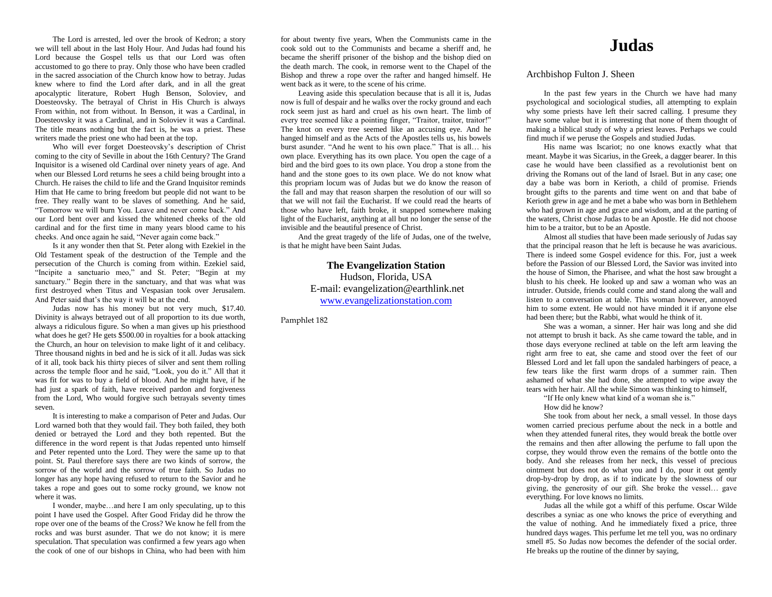The Lord is arrested, led over the brook of Kedron; a story we will tell about in the last Holy Hour. And Judas had found his Lord because the Gospel tells us that our Lord was often accustomed to go there to pray. Only those who have been cradled in the sacred association of the Church know how to betray. Judas knew where to find the Lord after dark, and in all the great apocalyptic literature, Robert Hugh Benson, Soloviev, and Doesteovsky. The betrayal of Christ in His Church is always From within, not from without. In Benson, it was a Cardinal, in Doesteovsky it was a Cardinal, and in Soloviev it was a Cardinal. The title means nothing but the fact is, he was a priest. These writers made the priest one who had been at the top.

Who will ever forget Doesteovsky's description of Christ coming to the city of Seville in about the 16th Century? The Grand Inquisitor is a wisened old Cardinal over ninety years of age. And when our Blessed Lord returns he sees a child being brought into a Church. He raises the child to life and the Grand Inquisitor reminds Him that He came to bring freedom but people did not want to be free. They really want to be slaves of something. And he said, "Tomorrow we will burn You. Leave and never come back." And our Lord bent over and kissed the whitened cheeks of the old cardinal and for the first time in many years blood came to his cheeks. And once again he said, "Never again come back."

Is it any wonder then that St. Peter along with Ezekiel in the Old Testament speak of the destruction of the Temple and the persecution of the Church is coming from within. Ezekiel said, "Incipite a sanctuario meo," and St. Peter; "Begin at my sanctuary." Begin there in the sanctuary, and that was what was first destroyed when Titus and Vespasian took over Jerusalem. And Peter said that's the way it will be at the end.

Judas now has his money but not very much, \$17.40. Divinity is always betrayed out of all proportion to its due worth, always a ridiculous figure. So when a man gives up his priesthood what does he get? He gets \$500.00 in royalties for a book attacking the Church, an hour on television to make light of it and celibacy. Three thousand nights in bed and he is sick of it all. Judas was sick of it all, took back his thirty pieces of silver and sent them rolling across the temple floor and he said, "Look, you do it." All that it was fit for was to buy a field of blood. And he might have, if he had just a spark of faith, have received pardon and forgiveness from the Lord, Who would forgive such betrayals seventy times seven.

It is interesting to make a comparison of Peter and Judas. Our Lord warned both that they would fail. They both failed, they both denied or betrayed the Lord and they both repented. But the difference in the word repent is that Judas repented unto himself and Peter repented unto the Lord. They were the same up to that point. St. Paul therefore says there are two kinds of sorrow, the sorrow of the world and the sorrow of true faith. So Judas no longer has any hope having refused to return to the Savior and he takes a rope and goes out to some rocky ground, we know not where it was.

I wonder, maybe…and here I am only speculating, up to this point I have used the Gospel. After Good Friday did he throw the rope over one of the beams of the Cross? We know he fell from the rocks and was burst asunder. That we do not know; it is mere speculation. That speculation was confirmed a few years ago when the cook of one of our bishops in China, who had been with him

for about twenty five years, When the Communists came in the cook sold out to the Communists and became a sheriff and, he became the sheriff prisoner of the bishop and the bishop died on the death march. The cook, in remorse went to the Chapel of the Bishop and threw a rope over the rafter and hanged himself. He went back as it were, to the scene of his crime.

Leaving aside this speculation because that is all it is, Judas now is full of despair and he walks over the rocky ground and each rock seem just as hard and cruel as his own heart. The limb of every tree seemed like a pointing finger, "Traitor, traitor, traitor!" The knot on every tree seemed like an accusing eye. And he hanged himself and as the Acts of the Apostles tells us, his bowels burst asunder. "And he went to his own place." That is all… his own place. Everything has its own place. You open the cage of a bird and the bird goes to its own place. You drop a stone from the hand and the stone goes to its own place. We do not know what this propriam locum was of Judas but we do know the reason of the fall and may that reason sharpen the resolution of our will so that we will not fail the Eucharist. If we could read the hearts of those who have left, faith broke, it snapped somewhere making light of the Eucharist, anything at all but no longer the sense of the invisible and the beautiful presence of Christ.

And the great tragedy of the life of Judas, one of the twelve, is that he might have been Saint Judas.

> **The Evangelization Station** Hudson, Florida, USA E-mail: evangelization@earthlink.net [www.evangelizationstation.com](http://www.pjpiisoe.org/)

Pamphlet 182

## **Judas**

## Archbishop Fulton J. Sheen

In the past few years in the Church we have had many psychological and sociological studies, all attempting to explain why some priests have left their sacred calling. I presume they have some value but it is interesting that none of them thought of making a biblical study of why a priest leaves. Perhaps we could find much if we peruse the Gospels and studied Judas.

His name was Iscariot; no one knows exactly what that meant. Maybe it was Sicarius, in the Greek, a dagger bearer. In this case he would have been classified as a revolutionist bent on driving the Romans out of the land of Israel. But in any case; one day a babe was born in Kerioth, a child of promise. Friends brought gifts to the parents and time went on and that babe of Kerioth grew in age and he met a babe who was born in Bethlehem who had grown in age and grace and wisdom, and at the parting of the waters, Christ chose Judas to be an Apostle. He did not choose him to be a traitor, but to be an Apostle.

Almost all studies that have been made seriously of Judas say that the principal reason that he left is because he was avaricious. There is indeed some Gospel evidence for this. For, just a week before the Passion of our Blessed Lord, the Savior was invited into the house of Simon, the Pharisee, and what the host saw brought a blush to his cheek. He looked up and saw a woman who was an intruder. Outside, friends could come and stand along the wall and listen to a conversation at table. This woman however, annoyed him to some extent. He would not have minded it if anyone else had been there; but the Rabbi, what would he think of it.

She was a woman, a sinner. Her hair was long and she did not attempt to brush it back. As she came toward the table, and in those days everyone reclined at table on the left arm leaving the right arm free to eat, she came and stood over the feet of our Blessed Lord and let fall upon the sandaled harbingers of peace, a few tears like the first warm drops of a summer rain. Then ashamed of what she had done, she attempted to wipe away the tears with her hair. All the while Simon was thinking to himself,

"If He only knew what kind of a woman she is."

How did he know?

She took from about her neck, a small vessel. In those days women carried precious perfume about the neck in a bottle and when they attended funeral rites, they would break the bottle over the remains and then after allowing the perfume to fall upon the corpse, they would throw even the remains of the bottle onto the body. And she releases from her neck, this vessel of precious ointment but does not do what you and I do, pour it out gently drop-by-drop by drop, as if to indicate by the slowness of our giving, the generosity of our gift. She broke the vessel… gave everything. For love knows no limits.

Judas all the while got a whiff of this perfume. Oscar Wilde describes a syniac as one who knows the price of everything and the value of nothing. And he immediately fixed a price, three hundred days wages. This perfume let me tell you, was no ordinary smell #5. So Judas now becomes the defender of the social order. He breaks up the routine of the dinner by saying,